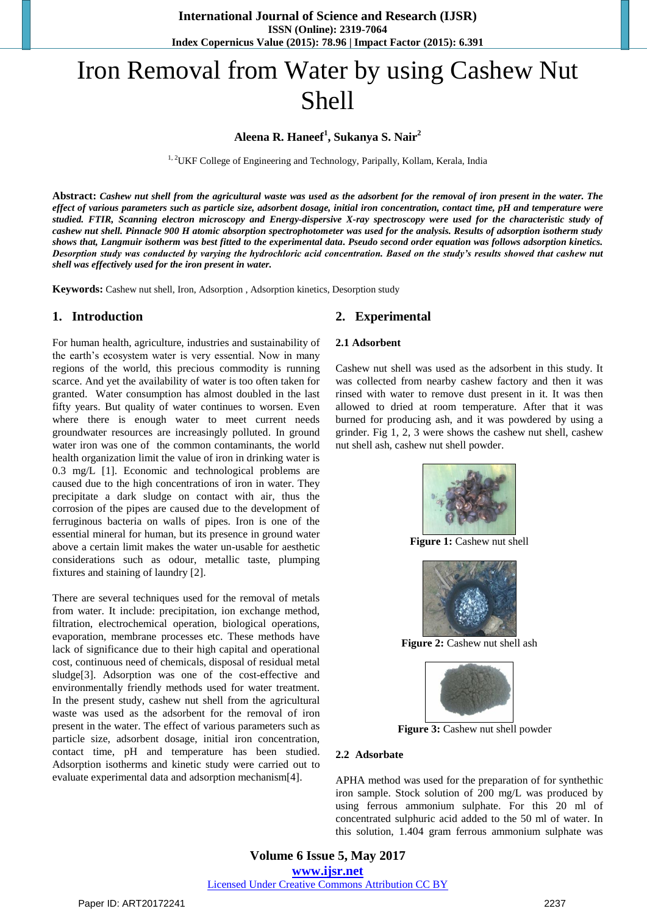# Iron Removal from Water by using Cashew Nut Shell

# **Aleena R. Haneef<sup>1</sup> , Sukanya S. Nair<sup>2</sup>**

<sup>1, 2</sup>UKF College of Engineering and Technology, Paripally, Kollam, Kerala, India

**Abstract:** *Cashew nut shell from the agricultural waste was used as the adsorbent for the removal of iron present in the water. The effect of various parameters such as particle size, adsorbent dosage, initial iron concentration, contact time, pH and temperature were studied. FTIR, Scanning electron microscopy and Energy-dispersive X-ray spectroscopy were used for the characteristic study of cashew nut shell. Pinnacle 900 H atomic absorption spectrophotometer was used for the analysis. Results of adsorption isotherm study shows that, Langmuir isotherm was best fitted to the experimental data. Pseudo second order equation was follows adsorption kinetics. Desorption study was conducted by varying the hydrochloric acid concentration. Based on the study's results showed that cashew nut shell was effectively used for the iron present in water.*

**Keywords:** Cashew nut shell, Iron, Adsorption , Adsorption kinetics, Desorption study

## **1. Introduction**

For human health, agriculture, industries and sustainability of the earth"s ecosystem water is very essential. Now in many regions of the world, this precious commodity is running scarce. And yet the availability of water is too often taken for granted. Water consumption has almost doubled in the last fifty years. But quality of water continues to worsen. Even where there is enough water to meet current needs groundwater resources are increasingly polluted. In ground water iron was one of the common contaminants, the world health organization limit the value of iron in drinking water is 0.3 mg/L [1]. Economic and technological problems are caused due to the high concentrations of iron in water. They precipitate a dark sludge on contact with air, thus the corrosion of the pipes are caused due to the development of ferruginous bacteria on walls of pipes. Iron is one of the essential mineral for human, but its presence in ground water above a certain limit makes the water un-usable for aesthetic considerations such as odour, metallic taste, plumping fixtures and staining of laundry [2].

There are several techniques used for the removal of metals from water. It include: precipitation, ion exchange method, filtration, electrochemical operation, biological operations, evaporation, membrane processes etc. These methods have lack of significance due to their high capital and operational cost, continuous need of chemicals, disposal of residual metal sludge[3]. Adsorption was one of the cost-effective and environmentally friendly methods used for water treatment. In the present study, cashew nut shell from the agricultural waste was used as the adsorbent for the removal of iron present in the water. The effect of various parameters such as particle size, adsorbent dosage, initial iron concentration, contact time, pH and temperature has been studied. Adsorption isotherms and kinetic study were carried out to evaluate experimental data and adsorption mechanism[4].

## **2. Experimental**

#### **2.1 Adsorbent**

Cashew nut shell was used as the adsorbent in this study. It was collected from nearby cashew factory and then it was rinsed with water to remove dust present in it. It was then allowed to dried at room temperature. After that it was burned for producing ash, and it was powdered by using a grinder. Fig 1, 2, 3 were shows the cashew nut shell, cashew nut shell ash, cashew nut shell powder.



**Figure 1:** Cashew nut shell



**Figure 2:** Cashew nut shell ash



**Figure 3:** Cashew nut shell powder

#### **2.2 Adsorbate**

APHA method was used for the preparation of for synthethic iron sample. Stock solution of 200 mg/L was produced by using ferrous ammonium sulphate. For this 20 ml of concentrated sulphuric acid added to the 50 ml of water. In this solution, 1.404 gram ferrous ammonium sulphate was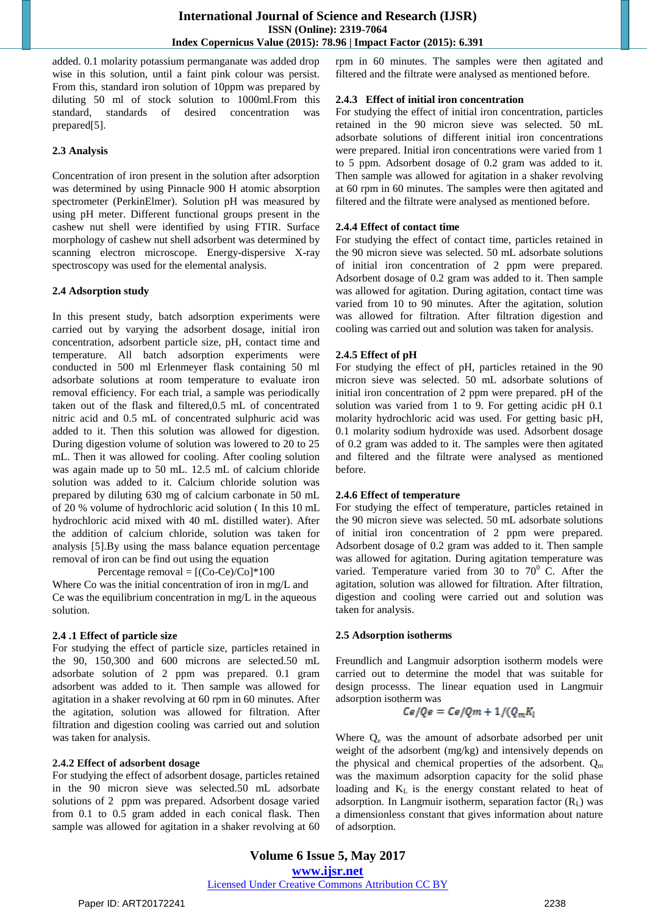added. 0.1 molarity potassium permanganate was added drop wise in this solution, until a faint pink colour was persist. From this, standard iron solution of 10ppm was prepared by diluting 50 ml of stock solution to 1000ml.From this standard, standards of desired concentration was prepared[5].

## **2.3 Analysis**

Concentration of iron present in the solution after adsorption was determined by using Pinnacle 900 H atomic absorption spectrometer (PerkinElmer). Solution pH was measured by using pH meter. Different functional groups present in the cashew nut shell were identified by using FTIR. Surface morphology of cashew nut shell adsorbent was determined by scanning electron microscope. Energy-dispersive X-ray spectroscopy was used for the elemental analysis.

## **2.4 Adsorption study**

In this present study, batch adsorption experiments were carried out by varying the adsorbent dosage, initial iron concentration, adsorbent particle size, pH, contact time and temperature. All batch adsorption experiments were conducted in 500 ml Erlenmeyer flask containing 50 ml adsorbate solutions at room temperature to evaluate iron removal efficiency. For each trial, a sample was periodically taken out of the flask and filtered,0.5 mL of concentrated nitric acid and 0.5 mL of concentrated sulphuric acid was added to it. Then this solution was allowed for digestion. During digestion volume of solution was lowered to 20 to 25 mL. Then it was allowed for cooling. After cooling solution was again made up to 50 mL. 12.5 mL of calcium chloride solution was added to it. Calcium chloride solution was prepared by diluting 630 mg of calcium carbonate in 50 mL of 20 % volume of hydrochloric acid solution ( In this 10 mL hydrochloric acid mixed with 40 mL distilled water). After the addition of calcium chloride, solution was taken for analysis [5].By using the mass balance equation percentage removal of iron can be find out using the equation

Percentage removal =  $[(Co-Ce)/Co]*100$ 

Where Co was the initial concentration of iron in mg/L and Ce was the equilibrium concentration in mg/L in the aqueous solution.

## **2.4 .1 Effect of particle size**

For studying the effect of particle size, particles retained in the 90, 150,300 and 600 microns are selected.50 mL adsorbate solution of 2 ppm was prepared. 0.1 gram adsorbent was added to it. Then sample was allowed for agitation in a shaker revolving at 60 rpm in 60 minutes. After the agitation, solution was allowed for filtration. After filtration and digestion cooling was carried out and solution was taken for analysis.

## **2.4.2 Effect of adsorbent dosage**

For studying the effect of adsorbent dosage, particles retained in the 90 micron sieve was selected.50 mL adsorbate solutions of 2 ppm was prepared. Adsorbent dosage varied from 0.1 to 0.5 gram added in each conical flask. Then sample was allowed for agitation in a shaker revolving at 60 rpm in 60 minutes. The samples were then agitated and filtered and the filtrate were analysed as mentioned before.

## **2.4.3 Effect of initial iron concentration**

For studying the effect of initial iron concentration, particles retained in the 90 micron sieve was selected. 50 mL adsorbate solutions of different initial iron concentrations were prepared. Initial iron concentrations were varied from 1 to 5 ppm. Adsorbent dosage of 0.2 gram was added to it. Then sample was allowed for agitation in a shaker revolving at 60 rpm in 60 minutes. The samples were then agitated and filtered and the filtrate were analysed as mentioned before.

## **2.4.4 Effect of contact time**

For studying the effect of contact time, particles retained in the 90 micron sieve was selected. 50 mL adsorbate solutions of initial iron concentration of 2 ppm were prepared. Adsorbent dosage of 0.2 gram was added to it. Then sample was allowed for agitation. During agitation, contact time was varied from 10 to 90 minutes. After the agitation, solution was allowed for filtration. After filtration digestion and cooling was carried out and solution was taken for analysis.

## **2.4.5 Effect of pH**

For studying the effect of pH, particles retained in the 90 micron sieve was selected. 50 mL adsorbate solutions of initial iron concentration of 2 ppm were prepared. pH of the solution was varied from 1 to 9. For getting acidic pH 0.1 molarity hydrochloric acid was used. For getting basic pH, 0.1 molarity sodium hydroxide was used. Adsorbent dosage of 0.2 gram was added to it. The samples were then agitated and filtered and the filtrate were analysed as mentioned before.

## **2.4.6 Effect of temperature**

For studying the effect of temperature, particles retained in the 90 micron sieve was selected. 50 mL adsorbate solutions of initial iron concentration of 2 ppm were prepared. Adsorbent dosage of 0.2 gram was added to it. Then sample was allowed for agitation. During agitation temperature was varied. Temperature varied from 30 to  $70^{\circ}$  C. After the agitation, solution was allowed for filtration. After filtration, digestion and cooling were carried out and solution was taken for analysis.

## **2.5 Adsorption isotherms**

Freundlich and Langmuir adsorption isotherm models were carried out to determine the model that was suitable for design processs. The linear equation used in Langmuir adsorption isotherm was

$$
Ce/Qe = Ce/Qm + 1/(Q_m K_l)
$$

Where  $Q_e$  was the amount of adsorbate adsorbed per unit weight of the adsorbent (mg/kg) and intensively depends on the physical and chemical properties of the adsorbent.  $Q_m$ was the maximum adsorption capacity for the solid phase loading and  $K<sub>L</sub>$  is the energy constant related to heat of adsorption. In Langmuir isotherm, separation factor  $(R<sub>L</sub>)$  was a dimensionless constant that gives information about nature of adsorption.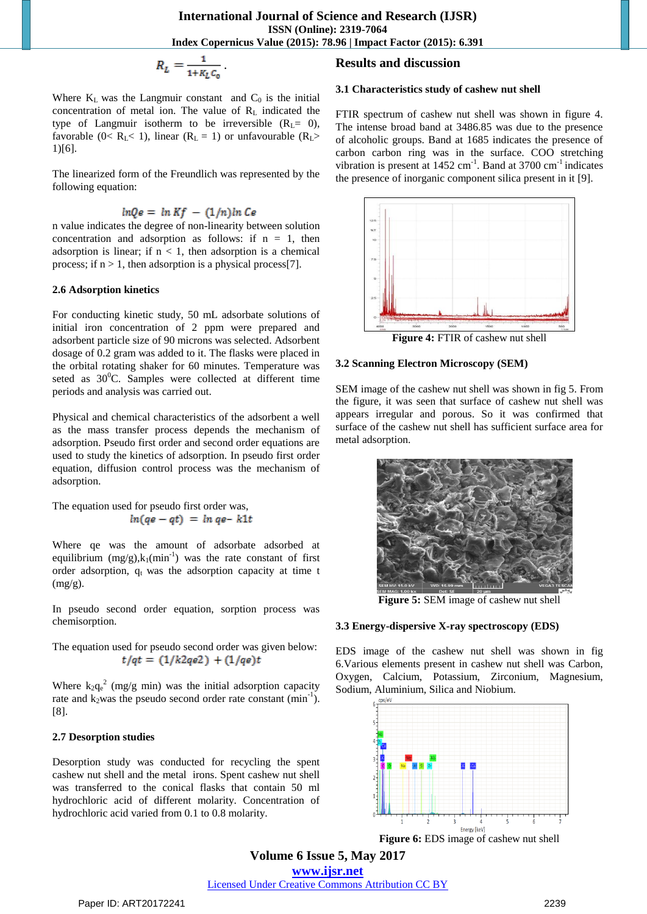$$
R_L=\frac{1}{1+K_L C_0}.
$$

Where  $K_L$  was the Langmuir constant and  $C_0$  is the initial concentration of metal ion. The value of  $R_L$  indicated the type of Langmuir isotherm to be irreversible  $(R<sub>L</sub>= 0)$ , favorable (0<  $R_L$  < 1), linear ( $R_L$  = 1) or unfavourable ( $R_L$ > 1)[6].

The linearized form of the Freundlich was represented by the following equation:

$$
lnQe = ln Kf - (1/n)ln Ce
$$

n value indicates the degree of non-linearity between solution concentration and adsorption as follows: if  $n = 1$ , then adsorption is linear; if  $n < 1$ , then adsorption is a chemical process; if  $n > 1$ , then adsorption is a physical process[7].

#### **2.6 Adsorption kinetics**

For conducting kinetic study, 50 mL adsorbate solutions of initial iron concentration of 2 ppm were prepared and adsorbent particle size of 90 microns was selected. Adsorbent dosage of 0.2 gram was added to it. The flasks were placed in the orbital rotating shaker for 60 minutes. Temperature was seted as  $30^0$ C. Samples were collected at different time periods and analysis was carried out.

Physical and chemical characteristics of the adsorbent a well as the mass transfer process depends the mechanism of adsorption. Pseudo first order and second order equations are used to study the kinetics of adsorption. In pseudo first order equation, diffusion control process was the mechanism of adsorption.

The equation used for pseudo first order was,  $ln(qe - qt) = ln qe - k1t$ 

Where qe was the amount of adsorbate adsorbed at equilibrium  $(mg/g), k_1(min^{-1})$  was the rate constant of first order adsorption,  $q_t$  was the adsorption capacity at time t  $(mg/g)$ .

In pseudo second order equation, sorption process was chemisorption.

The equation used for pseudo second order was given below:  $t/qt = (1/k2qe2) + (1/qe)t$ 

Where  $k_2 q_e^2$  (mg/g min) was the initial adsorption capacity rate and  $k_2$ was the pseudo second order rate constant (min<sup>-1</sup>). [8].

## **2.7 Desorption studies**

Desorption study was conducted for recycling the spent cashew nut shell and the metal irons. Spent cashew nut shell was transferred to the conical flasks that contain 50 ml hydrochloric acid of different molarity. Concentration of hydrochloric acid varied from 0.1 to 0.8 molarity.

# **Results and discussion**

## **3.1 Characteristics study of cashew nut shell**

FTIR spectrum of cashew nut shell was shown in figure 4. The intense broad band at 3486.85 was due to the presence of alcoholic groups. Band at 1685 indicates the presence of carbon carbon ring was in the surface. COO stretching vibration is present at 1452 cm<sup>-1</sup>. Band at 3700 cm<sup>-1</sup> indicates the presence of inorganic component silica present in it [9].



## **3.2 Scanning Electron Microscopy (SEM)**

SEM image of the cashew nut shell was shown in fig 5. From the figure, it was seen that surface of cashew nut shell was appears irregular and porous. So it was confirmed that surface of the cashew nut shell has sufficient surface area for metal adsorption.



**Figure 5:** SEM image of cashew nut shell

## **3.3 Energy-dispersive X-ray spectroscopy (EDS)**

EDS image of the cashew nut shell was shown in fig 6.Various elements present in cashew nut shell was Carbon, Oxygen, Calcium, Potassium, Zirconium, Magnesium, Sodium, Aluminium, Silica and Niobium.



**Figure 6:** EDS image of cashew nut shell

**Volume 6 Issue 5, May 2017 www.ijsr.net**

Licensed Under Creative Commons Attribution CC BY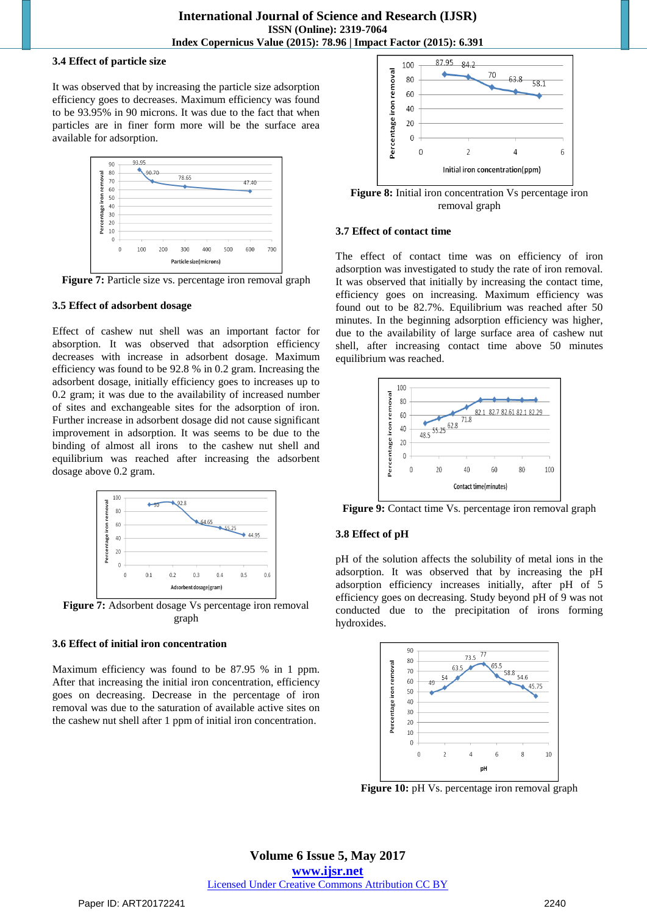## **3.4 Effect of particle size**

It was observed that by increasing the particle size adsorption efficiency goes to decreases. Maximum efficiency was found to be 93.95% in 90 microns. It was due to the fact that when particles are in finer form more will be the surface area available for adsorption.



**Figure 7:** Particle size vs. percentage iron removal graph

## **3.5 Effect of adsorbent dosage**

Effect of cashew nut shell was an important factor for absorption. It was observed that adsorption efficiency decreases with increase in adsorbent dosage. Maximum efficiency was found to be 92.8 % in 0.2 gram. Increasing the adsorbent dosage, initially efficiency goes to increases up to 0.2 gram; it was due to the availability of increased number of sites and exchangeable sites for the adsorption of iron. Further increase in adsorbent dosage did not cause significant improvement in adsorption. It was seems to be due to the binding of almost all irons to the cashew nut shell and equilibrium was reached after increasing the adsorbent dosage above 0.2 gram.



Figure 7: Adsorbent dosage Vs percentage iron removal graph

## **3.6 Effect of initial iron concentration**

Maximum efficiency was found to be 87.95 % in 1 ppm. After that increasing the initial iron concentration, efficiency goes on decreasing. Decrease in the percentage of iron removal was due to the saturation of available active sites on the cashew nut shell after 1 ppm of initial iron concentration.



Figure 8: Initial iron concentration Vs percentage iron removal graph

## **3.7 Effect of contact time**

The effect of contact time was on efficiency of iron adsorption was investigated to study the rate of iron removal. It was observed that initially by increasing the contact time, efficiency goes on increasing. Maximum efficiency was found out to be 82.7%. Equilibrium was reached after 50 minutes. In the beginning adsorption efficiency was higher, due to the availability of large surface area of cashew nut shell, after increasing contact time above 50 minutes equilibrium was reached.



**Figure 9:** Contact time Vs. percentage iron removal graph

## **3.8 Effect of pH**

pH of the solution affects the solubility of metal ions in the adsorption. It was observed that by increasing the pH adsorption efficiency increases initially, after pH of 5 efficiency goes on decreasing. Study beyond pH of 9 was not conducted due to the precipitation of irons forming hydroxides.



**Figure 10:** pH Vs. percentage iron removal graph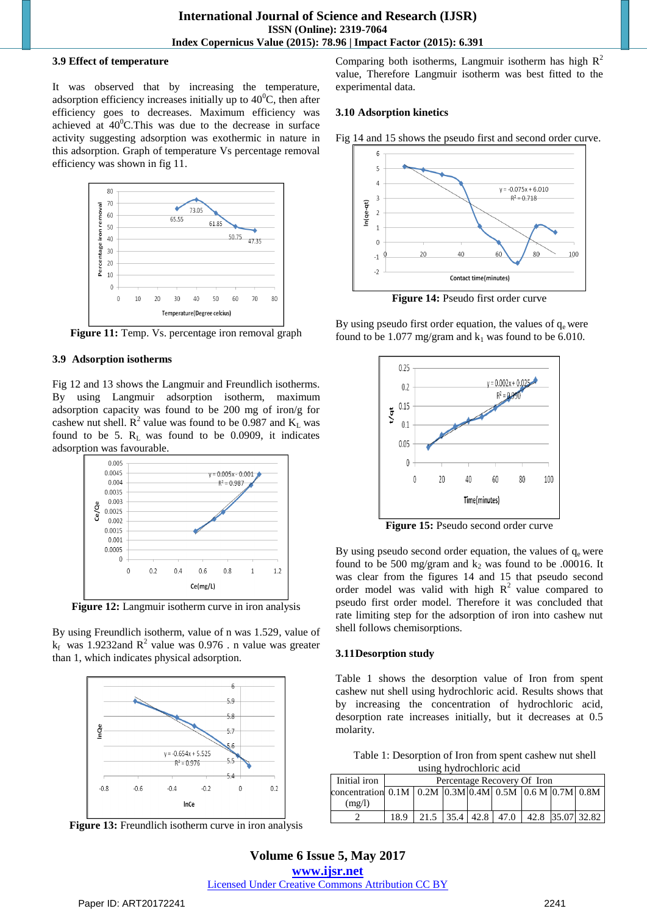## **3.9 Effect of temperature**

It was observed that by increasing the temperature, adsorption efficiency increases initially up to  $40^{\circ}$ C, then after efficiency goes to decreases. Maximum efficiency was achieved at  $40^{\circ}$ C.This was due to the decrease in surface activity suggesting adsorption was exothermic in nature in this adsorption. Graph of temperature Vs percentage removal efficiency was shown in fig 11.



**Figure 11:** Temp. Vs. percentage iron removal graph

## **3.9 Adsorption isotherms**

Fig 12 and 13 shows the Langmuir and Freundlich isotherms. By using Langmuir adsorption isotherm, maximum adsorption capacity was found to be 200 mg of iron/g for cashew nut shell.  $\mathbb{R}^2$  value was found to be 0.987 and  $\mathbb{K}_{\mathbb{L}}$  was found to be 5.  $R_L$  was found to be 0.0909, it indicates adsorption was favourable.



**Figure 12:** Langmuir isotherm curve in iron analysis

By using Freundlich isotherm, value of n was 1.529, value of  $k_f$  was 1.9232 and  $R^2$  value was 0.976 . n value was greater than 1, which indicates physical adsorption.



**Figure 13:** Freundlich isotherm curve in iron analysis

Comparing both isotherms, Langmuir isotherm has high  $R^2$ value, Therefore Langmuir isotherm was best fitted to the experimental data.

## **3.10 Adsorption kinetics**

Fig 14 and 15 shows the pseudo first and second order curve.



**Figure 14:** Pseudo first order curve

By using pseudo first order equation, the values of  $q_e$  were found to be 1.077 mg/gram and  $k_1$  was found to be 6.010.



**Figure 15:** Pseudo second order curve

By using pseudo second order equation, the values of  $q_e$  were found to be 500 mg/gram and  $k_2$  was found to be .00016. It was clear from the figures 14 and 15 that pseudo second order model was valid with high  $R^2$  value compared to pseudo first order model. Therefore it was concluded that rate limiting step for the adsorption of iron into cashew nut shell follows chemisorptions.

## **3.11Desorption study**

Table 1 shows the desorption value of Iron from spent cashew nut shell using hydrochloric acid. Results shows that by increasing the concentration of hydrochloric acid, desorption rate increases initially, but it decreases at 0.5 molarity.

Table 1: Desorption of Iron from spent cashew nut shell using hydrochloric acid

| aghe hydrochloric acid                                                                                                   |                             |  |  |  |  |  |  |                                      |
|--------------------------------------------------------------------------------------------------------------------------|-----------------------------|--|--|--|--|--|--|--------------------------------------|
| Initial iron                                                                                                             | Percentage Recovery Of Iron |  |  |  |  |  |  |                                      |
| concentration 0.1M $\mid$ 0.2M $\mid$ 0.3M $\mid$ 0.4M $\mid$ 0.5M $\mid$ 0.6 M $\mid$ 0.7M $\mid$ 0.8M $\mid$<br>(mg/l) |                             |  |  |  |  |  |  |                                      |
|                                                                                                                          | 18.9                        |  |  |  |  |  |  | 21.5 35.4 42.8 47.0 42.8 35.07 32.82 |